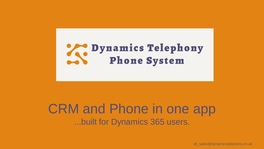# Dynamics Telephony<br>Phone System

# CRM and Phone in one app ...built for Dynamics 365 users.

dt\_sales@dynamicstelephony.co.uk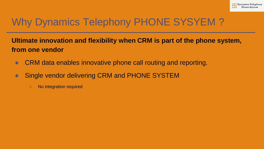# Why Dynamics Telephony PHONE SYSYEM ?

#### **Ultimate innovation and flexibility when CRM is part of the phone system, from one vendor**

- CRM data enables innovative phone call routing and reporting.
- Single vendor delivering CRM and PHONE SYSTEM
	- No integration required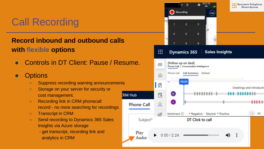# Call Recording

#### **Record inbound and outbound calls with flexible options**

Controls in DT Client: Pause / Resume.

#### **Options**

- Suppress recording warning announcements
- Storage on your server for security or cost management.
- Recording link in CRM phonecall record - no more searching for recordings
- Transcript in CRM
- Send recording to Dynamics 365 Sales Insights via Azure storage
	- get transcript, recording link and analytics in CRM

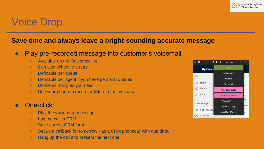# Voice Drop

#### **Save time and always leave a bright-sounding accurate message**

#### ● Play pre-recorded message into customer's voicemail

- Available on the Outcomes list
- Can also schedule a retry
- Definable per queue
- Definable per agent if you have personal queues
- Define as many as you need
- Use your phone to record or listen to the message

#### One-click:

- Play the voice-drop message,
- $\circ$  Log the call in CRM,
- Save current CRM form,
- $\circ$  Set up a callback for tomorrow as a CRM phonecall with due date,
- Hang up the call and present the next one.

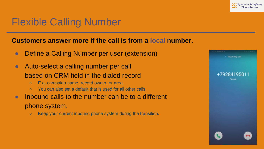#### Dynamics Telephony

## Flexible Calling Number

#### **Customers answer more if the call is from a local number.**

- Define a Calling Number per user (extension)
- Auto-select a calling number per call based on CRM field in the dialed record
	- E.g. campaign name, record owner, or area
	- You can also set a default that is used for all other calls
- Inbound calls to the number can be to a different phone system.
	- Keep your current inbound phone system during the transition.

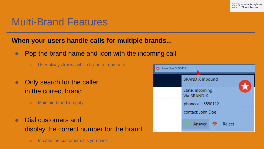#### **Dynamics Telephony**

### Multi-Brand Features

#### **When your users handle calls for multiple brands...**

- Pop the brand name and icon with the incoming call
	- User always knows which brand to represent
- Only search for the caller in the correct brand
	- Maintain brand integrity
- Dial customers and display the correct number for the brand
	- In case the customer calls you back

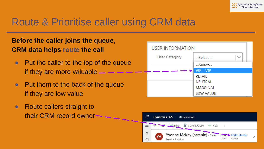# Route & Prioritise caller using CRM data

#### **Before the caller joins the queue, CRM data helps route the call**

- Put the caller to the top of the queue if they are more valuable
- Put them to the back of the queue if they are low value
- Route callers straight to their CRM record owner

| <b>USER INFORMATION</b> |               |  |  |
|-------------------------|---------------|--|--|
| <b>User Category</b>    | --Select--    |  |  |
|                         | --Select--    |  |  |
|                         | $VIP - VIP$   |  |  |
|                         | <b>RETAIL</b> |  |  |
|                         | NEUTRAL       |  |  |
|                         | MARGINAL      |  |  |
|                         | LOW VALUE -   |  |  |

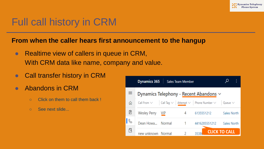# Full call history in CRM

#### **From when the caller hears first announcement to the hangup**

- Realtime view of callers in queue in CRM, With CRM data like name, company and value.
- Call transfer history in CRM
- Abandons in CRM
	- Click on them to call them back !
	- See next slide...

|   | <b>Dynamics 365</b>                                                                      |       | <b>Sales Team Member</b> |               |                      |             |
|---|------------------------------------------------------------------------------------------|-------|--------------------------|---------------|----------------------|-------------|
| ≡ | Dynamics Telephony - Recent Abandons $\vee$                                              |       |                          |               |                      |             |
| ⋒ | Call From $\vee$   Call Tag $\vee$   Attempt $\vee$   Phone Number $\vee$   Queue $\vee$ |       |                          |               |                      |             |
| Ż | <b>Wesley Perry</b>                                                                      | – VIP | 4                        | 6135551212    |                      | Sales North |
|   | Dean Howa Normal                                                                         |       |                          | 4416285551212 |                      | Sales North |
| A | new unknown Normal                                                                       |       | 2                        |               | <b>CLICK TO CALL</b> |             |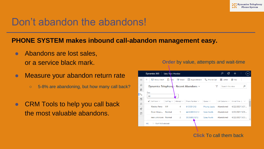### Don't abandon the abandons!

#### **PHONE SYSTEM makes inbound call-abandon management easy.**

- Abandons are lost sales, or a service black mark.
- Measure your abandon return rate
	- 5-8% are abandoning, but how many call back?
- CRM Tools to help you call back the most valuable abandons.

|                     | <b>Dynamics 365</b><br>Sales Team Member                                 |                                    |                       | Q         | Ø                                                  |                |  |
|---------------------|--------------------------------------------------------------------------|------------------------------------|-----------------------|-----------|----------------------------------------------------|----------------|--|
| $\equiv$            | $\Box$ Task<br>Show Chart<br>$\triangleright$ Email<br>$\leftarrow$      | Appointment                        | S Phone Call          |           | ■ Letter <b>A</b> Fax                              | ÷              |  |
| ⋒                   | Dynamics Telephony - Recent Abandons $\vee$                              |                                    | $\triangledown$       |           | Search this view                                   | م              |  |
| 囱                   | Due                                                                      |                                    |                       |           |                                                    |                |  |
| $\mathsf{R}$        | All                                                                      |                                    |                       |           |                                                    |                |  |
| <b>a</b><br>$\beta$ | Call Tag $\vee$<br>Attempt $\vee$<br>$\checkmark$ Call From $\checkmark$ | Phone Number $\vee$   Queue $\vee$ |                       |           | Call Outcome $\vee$ Arrival Time $\downarrow \vee$ |                |  |
| GÖ.                 | <b>VIP</b><br><b>Wesley Perry</b><br>$\overline{4}$                      | 6135551212                         | <b>Priority Leads</b> | Abandoned |                                                    | 4/22/2021 5:07 |  |
| $\Box$              | Dean Howa Normal<br>$-1$                                                 | 4416285551212                      | Sales North           | Abandoned |                                                    | 4/22/2021 5:06 |  |
|                     | $2^{\circ}$<br>new unknown Normal                                        | 353868551212                       | Sales North           | Abandoned |                                                    | 4/22/2021 5:03 |  |
|                     | <b>ABC</b><br>1 - 16 of 16 (0 selected)                                  |                                    |                       |           |                                                    |                |  |

**Order** by value, attempts and wait-time

**Click** To call them back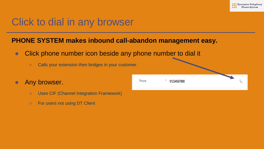# Click to dial in any browser

#### **PHONE SYSTEM makes inbound call-abandon management easy.**

- Click phone number icon beside any phone number to dial it
	- Calls your extension then bridges in your customer.
- Any browser.
	- Uses CIF (Channel Integration Framework)
	- For users not using DT Client

| Phone | ×<br>01234567890 |  |  |
|-------|------------------|--|--|
|       |                  |  |  |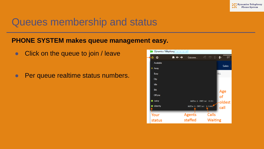### Queues membership and status

#### **PHONE SYSTEM makes queue management easy.**

- Click on the queue to join / leave
- Per queue realtime status numbers.

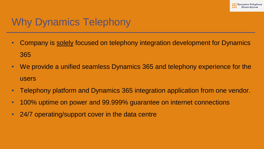# Why Dynamics Telephony

- Company is solely focused on telephony integration development for Dynamics 365
- We provide a unified seamless Dynamics 365 and telephony experience for the users
- Telephony platform and Dynamics 365 integration application from one vendor.
- 100% uptime on power and 99.999% guarantee on internet connections
- 24/7 operating/support cover in the data centre